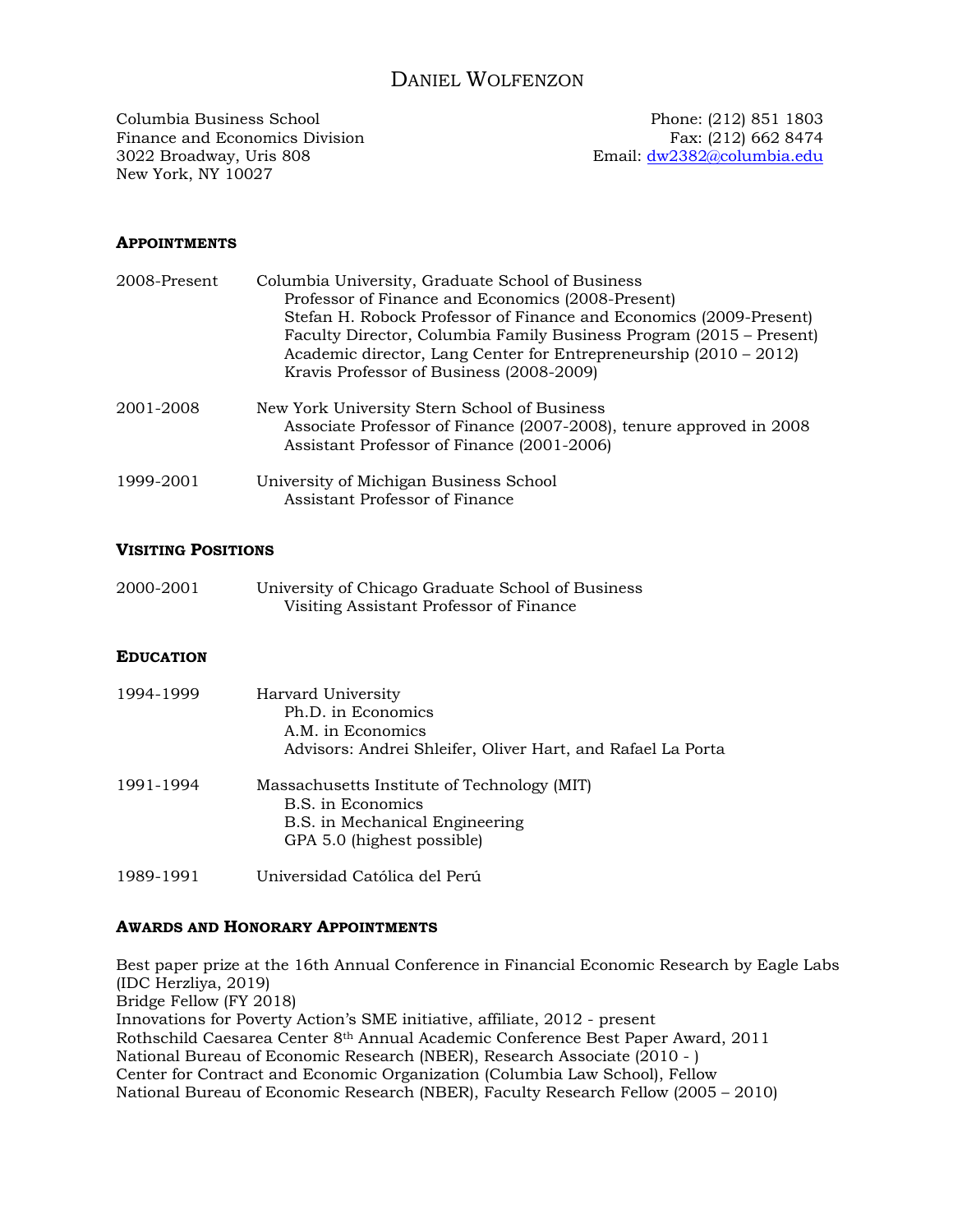# DANIEL WOLFENZON

Columbia Business School Phone: (212) 851 1803 Finance and Economics Division Fax: (212) 662 8474<br>3022 Broadway, Uris 808 Email: dw2382@columbia.edu New York, NY 10027

Email: dw2382@columbia.edu

## **APPOINTMENTS**

| 2008-Present | Columbia University, Graduate School of Business<br>Professor of Finance and Economics (2008-Present)<br>Stefan H. Robock Professor of Finance and Economics (2009-Present)<br>Faculty Director, Columbia Family Business Program (2015 – Present)<br>Academic director, Lang Center for Entrepreneurship $(2010 - 2012)$<br>Kravis Professor of Business (2008-2009) |
|--------------|-----------------------------------------------------------------------------------------------------------------------------------------------------------------------------------------------------------------------------------------------------------------------------------------------------------------------------------------------------------------------|
| 2001-2008    | New York University Stern School of Business<br>Associate Professor of Finance (2007-2008), tenure approved in 2008<br>Assistant Professor of Finance (2001-2006)                                                                                                                                                                                                     |
| 1999-2001    | University of Michigan Business School<br>Assistant Professor of Finance                                                                                                                                                                                                                                                                                              |

#### **VISITING POSITIONS**

| 2000-2001 | University of Chicago Graduate School of Business |
|-----------|---------------------------------------------------|
|           | Visiting Assistant Professor of Finance           |

### **EDUCATION**

| 1994-1999 | Harvard University<br>Ph.D. in Economics<br>A.M. in Economics<br>Advisors: Andrei Shleifer, Oliver Hart, and Rafael La Porta     |
|-----------|----------------------------------------------------------------------------------------------------------------------------------|
| 1991-1994 | Massachusetts Institute of Technology (MIT)<br>B.S. in Economics<br>B.S. in Mechanical Engineering<br>GPA 5.0 (highest possible) |
| 1989-1991 | Universidad Católica del Perú                                                                                                    |

#### **AWARDS AND HONORARY APPOINTMENTS**

Best paper prize at the 16th Annual Conference in Financial Economic Research by Eagle Labs (IDC Herzliya, 2019) Bridge Fellow (FY 2018) Innovations for Poverty Action's SME initiative, affiliate, 2012 - present Rothschild Caesarea Center 8th Annual Academic Conference Best Paper Award, 2011 National Bureau of Economic Research (NBER), Research Associate (2010 - ) Center for Contract and Economic Organization (Columbia Law School), Fellow National Bureau of Economic Research (NBER), Faculty Research Fellow (2005 – 2010)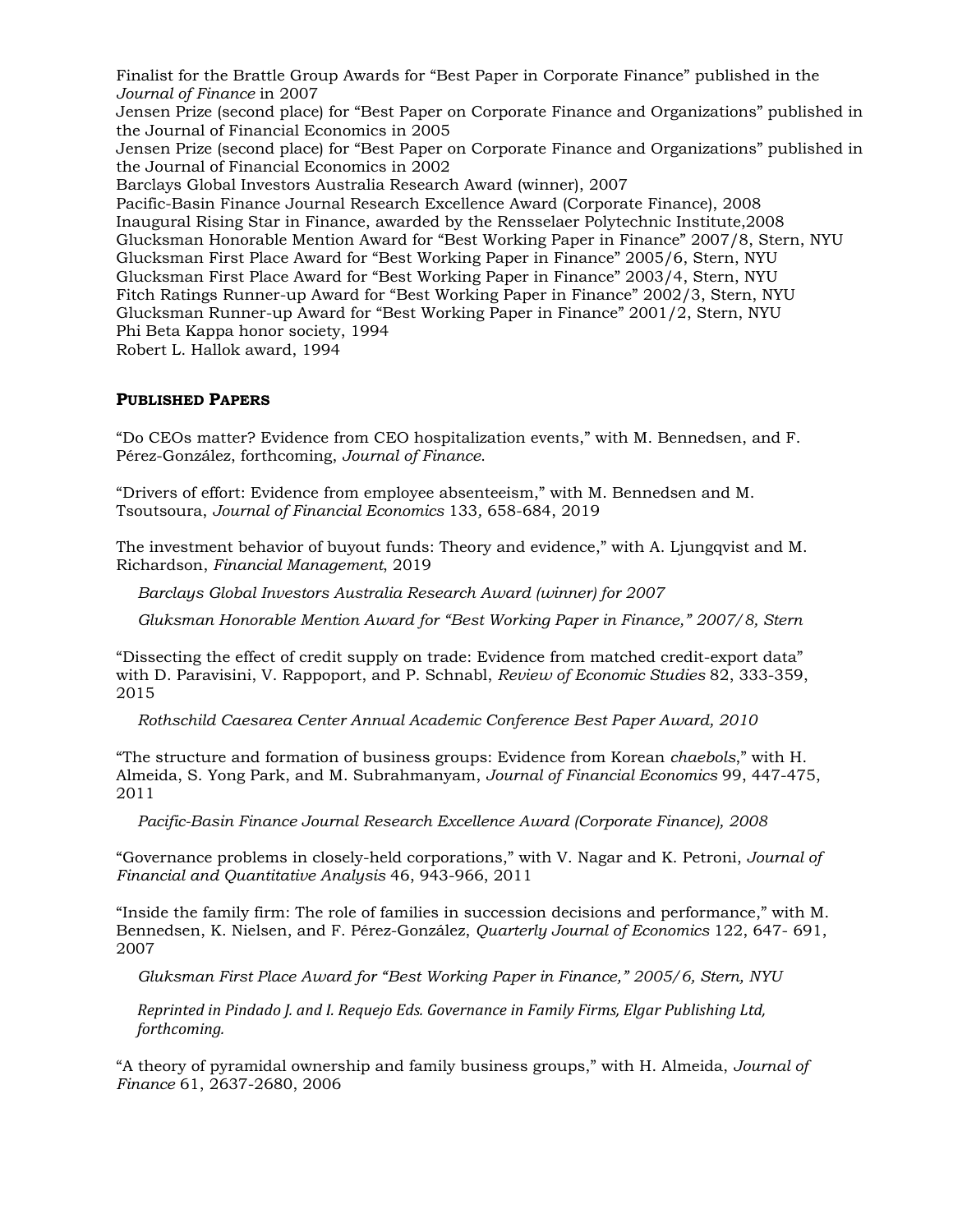Finalist for the Brattle Group Awards for "Best Paper in Corporate Finance" published in the *Journal of Finance* in 2007

Jensen Prize (second place) for "Best Paper on Corporate Finance and Organizations" published in the Journal of Financial Economics in 2005

Jensen Prize (second place) for "Best Paper on Corporate Finance and Organizations" published in the Journal of Financial Economics in 2002

Barclays Global Investors Australia Research Award (winner), 2007

Pacific-Basin Finance Journal Research Excellence Award (Corporate Finance), 2008 Inaugural Rising Star in Finance, awarded by the Rensselaer Polytechnic Institute,2008 Glucksman Honorable Mention Award for "Best Working Paper in Finance" 2007/8, Stern, NYU Glucksman First Place Award for "Best Working Paper in Finance" 2005/6, Stern, NYU Glucksman First Place Award for "Best Working Paper in Finance" 2003/4, Stern, NYU Fitch Ratings Runner-up Award for "Best Working Paper in Finance" 2002/3, Stern, NYU Glucksman Runner-up Award for "Best Working Paper in Finance" 2001/2, Stern, NYU Phi Beta Kappa honor society, 1994

Robert L. Hallok award, 1994

### **PUBLISHED PAPERS**

"Do CEOs matter? Evidence from CEO hospitalization events," with M. Bennedsen, and F. Pérez-González, forthcoming, *Journal of Finance*.

"Drivers of effort: Evidence from employee absenteeism," with M. Bennedsen and M. Tsoutsoura, *Journal of Financial Economics* 133*,* 658-684, 2019

The investment behavior of buyout funds: Theory and evidence," with A. Ljungqvist and M. Richardson, *Financial Management*, 2019

*Barclays Global Investors Australia Research Award (winner) for 2007* 

*Gluksman Honorable Mention Award for "Best Working Paper in Finance," 2007/8, Stern*

"Dissecting the effect of credit supply on trade: Evidence from matched credit-export data" with D. Paravisini, V. Rappoport, and P. Schnabl, *Review of Economic Studies* 82, 333-359, 2015

 *Rothschild Caesarea Center Annual Academic Conference Best Paper Award, 2010* 

"The structure and formation of business groups: Evidence from Korean *chaebols*," with H. Almeida, S. Yong Park, and M. Subrahmanyam, *Journal of Financial Economics* 99, 447-475, 2011

*Pacific-Basin Finance Journal Research Excellence Award (Corporate Finance), 2008* 

"Governance problems in closely-held corporations," with V. Nagar and K. Petroni, *Journal of Financial and Quantitative Analysis* 46, 943-966, 2011

"Inside the family firm: The role of families in succession decisions and performance," with M. Bennedsen, K. Nielsen, and F. Pérez-González, *Quarterly Journal of Economics* 122, 647- 691, 2007

*Gluksman First Place Award for "Best Working Paper in Finance," 2005/6, Stern, NYU* 

*Reprinted in Pindado J. and I. Requejo Eds. Governance in Family Firms, Elgar Publishing Ltd, forthcoming.*

"A theory of pyramidal ownership and family business groups," with H. Almeida, *Journal of Finance* 61, 2637-2680, 2006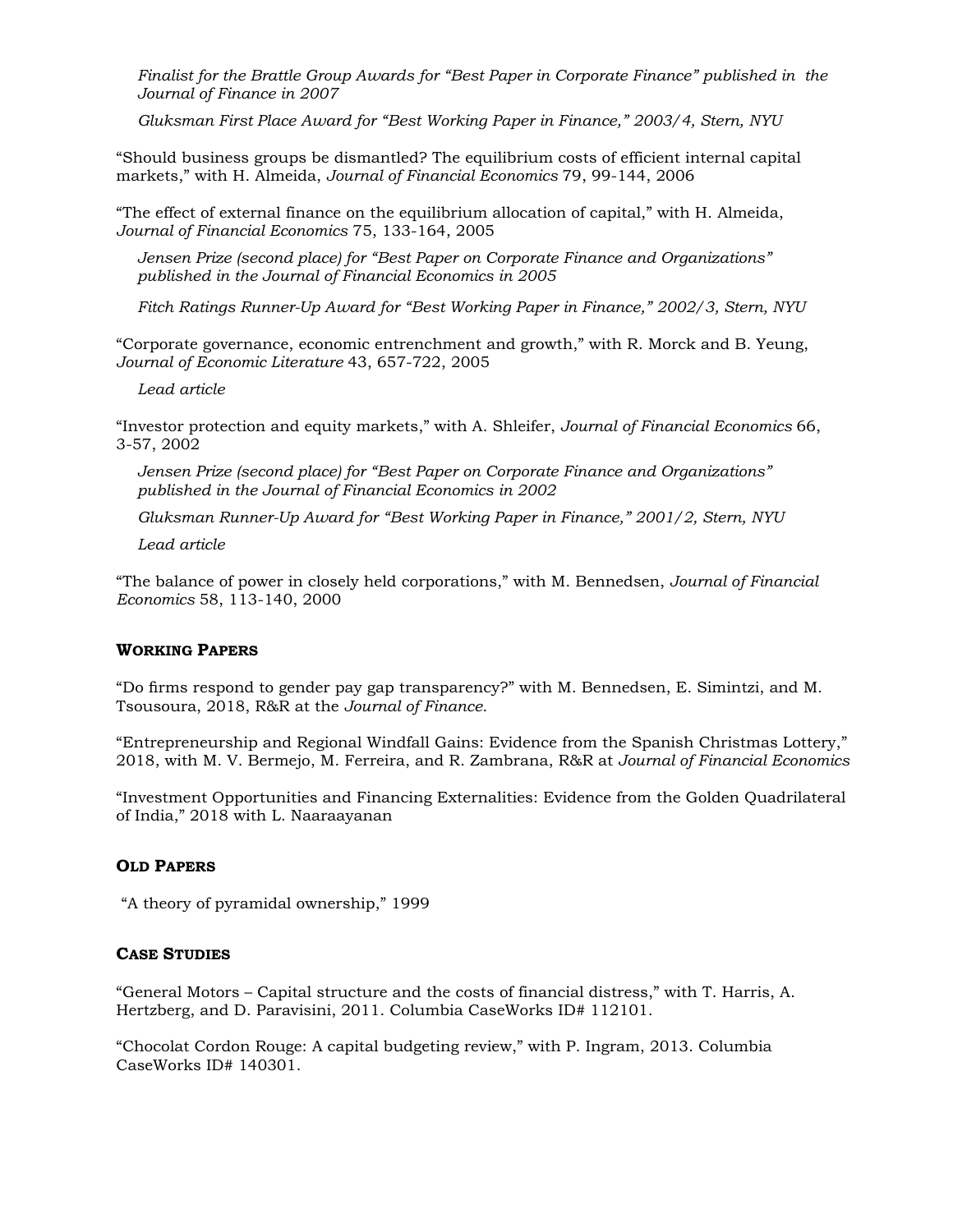*Finalist for the Brattle Group Awards for "Best Paper in Corporate Finance" published in the Journal of Finance in 2007* 

 *Gluksman First Place Award for "Best Working Paper in Finance," 2003/4, Stern, NYU* 

"Should business groups be dismantled? The equilibrium costs of efficient internal capital markets," with H. Almeida, *Journal of Financial Economics* 79, 99-144, 2006

"The effect of external finance on the equilibrium allocation of capital," with H. Almeida, *Journal of Financial Economics* 75, 133-164, 2005

*Jensen Prize (second place) for "Best Paper on Corporate Finance and Organizations" published in the Journal of Financial Economics in 2005* 

 *Fitch Ratings Runner-Up Award for "Best Working Paper in Finance," 2002/3, Stern, NYU* 

"Corporate governance, economic entrenchment and growth," with R. Morck and B. Yeung, *Journal of Economic Literature* 43, 657-722, 2005

*Lead article* 

"Investor protection and equity markets," with A. Shleifer, *Journal of Financial Economics* 66, 3-57, 2002

*Jensen Prize (second place) for "Best Paper on Corporate Finance and Organizations" published in the Journal of Financial Economics in 2002* 

*Gluksman Runner-Up Award for "Best Working Paper in Finance," 2001/2, Stern, NYU* 

*Lead article* 

"The balance of power in closely held corporations," with M. Bennedsen, *Journal of Financial Economics* 58, 113-140, 2000

### **WORKING PAPERS**

"Do firms respond to gender pay gap transparency?" with M. Bennedsen, E. Simintzi, and M. Tsousoura, 2018, R&R at the *Journal of Finance*.

"Entrepreneurship and Regional Windfall Gains: Evidence from the Spanish Christmas Lottery," 2018, with M. V. Bermejo, M. Ferreira, and R. Zambrana, R&R at *Journal of Financial Economics*

"Investment Opportunities and Financing Externalities: Evidence from the Golden Quadrilateral of India," 2018 with L. Naaraayanan

#### **OLD PAPERS**

"A theory of pyramidal ownership," 1999

### **CASE STUDIES**

"General Motors – Capital structure and the costs of financial distress," with T. Harris, A. Hertzberg, and D. Paravisini, 2011. Columbia CaseWorks ID# 112101.

"Chocolat Cordon Rouge: A capital budgeting review," with P. Ingram, 2013. Columbia CaseWorks ID# 140301.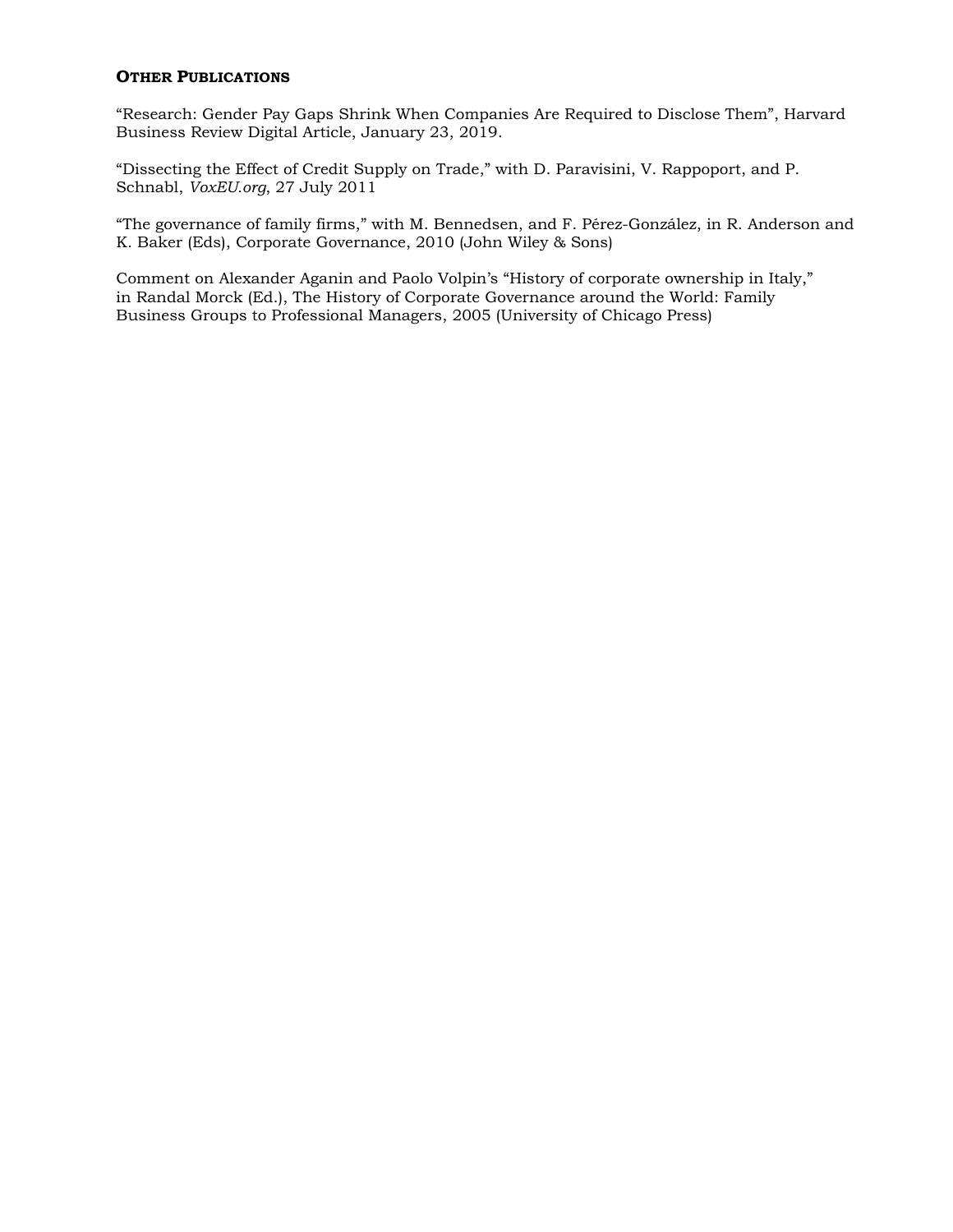### **OTHER PUBLICATIONS**

"Research: Gender Pay Gaps Shrink When Companies Are Required to Disclose Them", Harvard Business Review Digital Article, January 23, 2019.

"Dissecting the Effect of Credit Supply on Trade," with D. Paravisini, V. Rappoport, and P. Schnabl, *VoxEU.org*, 27 July 2011

"The governance of family firms," with M. Bennedsen, and F. Pérez-González, in R. Anderson and K. Baker (Eds), Corporate Governance, 2010 (John Wiley & Sons)

Comment on Alexander Aganin and Paolo Volpin's "History of corporate ownership in Italy," in Randal Morck (Ed.), The History of Corporate Governance around the World: Family Business Groups to Professional Managers, 2005 (University of Chicago Press)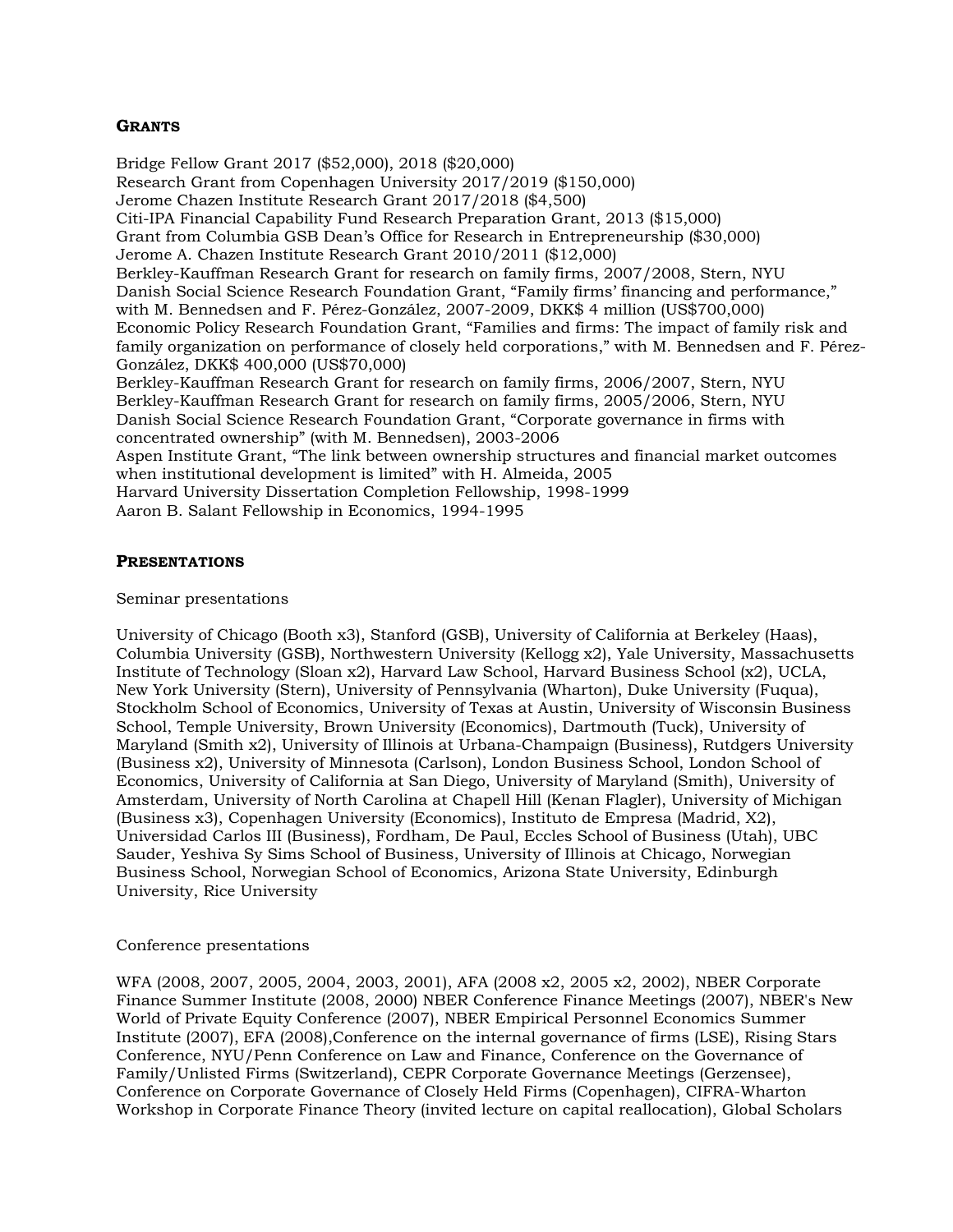# **GRANTS**

Bridge Fellow Grant 2017 (\$52,000), 2018 (\$20,000) Research Grant from Copenhagen University 2017/2019 (\$150,000) Jerome Chazen Institute Research Grant 2017/2018 (\$4,500) Citi-IPA Financial Capability Fund Research Preparation Grant, 2013 (\$15,000) Grant from Columbia GSB Dean's Office for Research in Entrepreneurship (\$30,000) Jerome A. Chazen Institute Research Grant 2010/2011 (\$12,000) Berkley-Kauffman Research Grant for research on family firms, 2007/2008, Stern, NYU Danish Social Science Research Foundation Grant, "Family firms' financing and performance," with M. Bennedsen and F. Pérez-González, 2007-2009, DKK\$ 4 million (US\$700,000) Economic Policy Research Foundation Grant, "Families and firms: The impact of family risk and family organization on performance of closely held corporations," with M. Bennedsen and F. Pérez-González, DKK\$ 400,000 (US\$70,000) Berkley-Kauffman Research Grant for research on family firms, 2006/2007, Stern, NYU Berkley-Kauffman Research Grant for research on family firms, 2005/2006, Stern, NYU Danish Social Science Research Foundation Grant, "Corporate governance in firms with concentrated ownership" (with M. Bennedsen), 2003-2006 Aspen Institute Grant, "The link between ownership structures and financial market outcomes when institutional development is limited" with H. Almeida, 2005 Harvard University Dissertation Completion Fellowship, 1998-1999 Aaron B. Salant Fellowship in Economics, 1994-1995

### **PRESENTATIONS**

Seminar presentations

University of Chicago (Booth x3), Stanford (GSB), University of California at Berkeley (Haas), Columbia University (GSB), Northwestern University (Kellogg x2), Yale University, Massachusetts Institute of Technology (Sloan x2), Harvard Law School, Harvard Business School (x2), UCLA, New York University (Stern), University of Pennsylvania (Wharton), Duke University (Fuqua), Stockholm School of Economics, University of Texas at Austin, University of Wisconsin Business School, Temple University, Brown University (Economics), Dartmouth (Tuck), University of Maryland (Smith x2), University of Illinois at Urbana-Champaign (Business), Rutdgers University (Business x2), University of Minnesota (Carlson), London Business School, London School of Economics, University of California at San Diego, University of Maryland (Smith), University of Amsterdam, University of North Carolina at Chapell Hill (Kenan Flagler), University of Michigan (Business x3), Copenhagen University (Economics), Instituto de Empresa (Madrid, X2), Universidad Carlos III (Business), Fordham, De Paul, Eccles School of Business (Utah), UBC Sauder, Yeshiva Sy Sims School of Business, University of Illinois at Chicago, Norwegian Business School, Norwegian School of Economics, Arizona State University, Edinburgh University, Rice University

### Conference presentations

WFA (2008, 2007, 2005, 2004, 2003, 2001), AFA (2008 x2, 2005 x2, 2002), NBER Corporate Finance Summer Institute (2008, 2000) NBER Conference Finance Meetings (2007), NBER's New World of Private Equity Conference (2007), NBER Empirical Personnel Economics Summer Institute (2007), EFA (2008),Conference on the internal governance of firms (LSE), Rising Stars Conference, NYU/Penn Conference on Law and Finance, Conference on the Governance of Family/Unlisted Firms (Switzerland), CEPR Corporate Governance Meetings (Gerzensee), Conference on Corporate Governance of Closely Held Firms (Copenhagen), CIFRA-Wharton Workshop in Corporate Finance Theory (invited lecture on capital reallocation), Global Scholars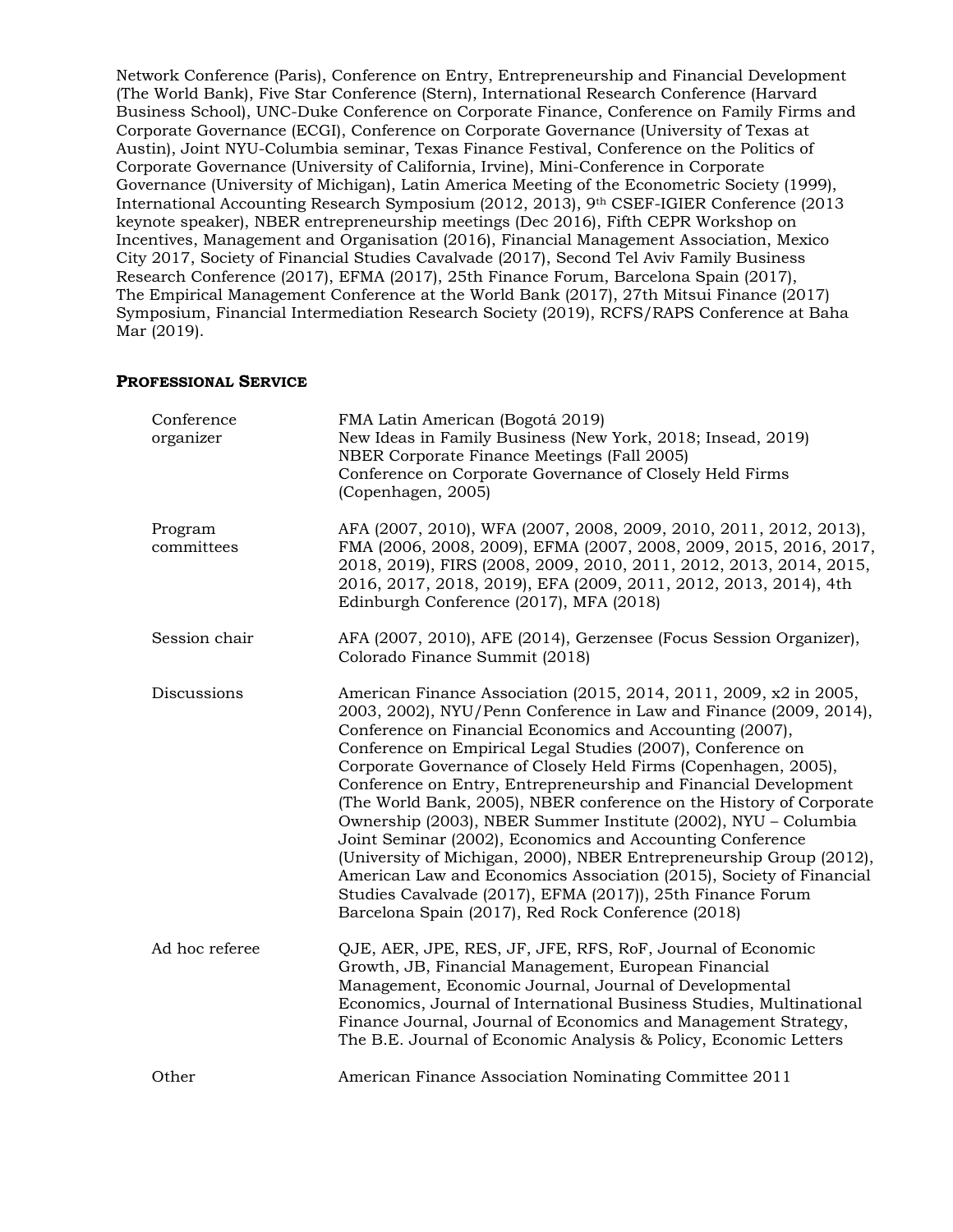Network Conference (Paris), Conference on Entry, Entrepreneurship and Financial Development (The World Bank), Five Star Conference (Stern), International Research Conference (Harvard Business School), UNC-Duke Conference on Corporate Finance, Conference on Family Firms and Corporate Governance (ECGI), Conference on Corporate Governance (University of Texas at Austin), Joint NYU-Columbia seminar, Texas Finance Festival, Conference on the Politics of Corporate Governance (University of California, Irvine), Mini-Conference in Corporate Governance (University of Michigan), Latin America Meeting of the Econometric Society (1999), International Accounting Research Symposium (2012, 2013), 9th CSEF-IGIER Conference (2013 keynote speaker), NBER entrepreneurship meetings (Dec 2016), Fifth CEPR Workshop on Incentives, Management and Organisation (2016), Financial Management Association, Mexico City 2017, Society of Financial Studies Cavalvade (2017), Second Tel Aviv Family Business Research Conference (2017), EFMA (2017), 25th Finance Forum, Barcelona Spain (2017), The Empirical Management Conference at the World Bank (2017), 27th Mitsui Finance (2017) Symposium, Financial Intermediation Research Society (2019), RCFS/RAPS Conference at Baha Mar (2019).

### **PROFESSIONAL SERVICE**

| Conference<br>organizer | FMA Latin American (Bogotá 2019)<br>New Ideas in Family Business (New York, 2018; Insead, 2019)<br>NBER Corporate Finance Meetings (Fall 2005)<br>Conference on Corporate Governance of Closely Held Firms<br>(Copenhagen, 2005)                                                                                                                                                                                                                                                                                                                                                                                                                                                                                                                                                                                                                                               |
|-------------------------|--------------------------------------------------------------------------------------------------------------------------------------------------------------------------------------------------------------------------------------------------------------------------------------------------------------------------------------------------------------------------------------------------------------------------------------------------------------------------------------------------------------------------------------------------------------------------------------------------------------------------------------------------------------------------------------------------------------------------------------------------------------------------------------------------------------------------------------------------------------------------------|
| Program<br>committees   | AFA (2007, 2010), WFA (2007, 2008, 2009, 2010, 2011, 2012, 2013),<br>FMA (2006, 2008, 2009), EFMA (2007, 2008, 2009, 2015, 2016, 2017,<br>2018, 2019), FIRS (2008, 2009, 2010, 2011, 2012, 2013, 2014, 2015,<br>2016, 2017, 2018, 2019), EFA (2009, 2011, 2012, 2013, 2014), 4th<br>Edinburgh Conference (2017), MFA (2018)                                                                                                                                                                                                                                                                                                                                                                                                                                                                                                                                                    |
| Session chair           | AFA (2007, 2010), AFE (2014), Gerzensee (Focus Session Organizer),<br>Colorado Finance Summit (2018)                                                                                                                                                                                                                                                                                                                                                                                                                                                                                                                                                                                                                                                                                                                                                                           |
| Discussions             | American Finance Association (2015, 2014, 2011, 2009, x2 in 2005,<br>2003, 2002), NYU/Penn Conference in Law and Finance (2009, 2014),<br>Conference on Financial Economics and Accounting (2007),<br>Conference on Empirical Legal Studies (2007), Conference on<br>Corporate Governance of Closely Held Firms (Copenhagen, 2005),<br>Conference on Entry, Entrepreneurship and Financial Development<br>(The World Bank, 2005), NBER conference on the History of Corporate<br>Ownership (2003), NBER Summer Institute (2002), NYU - Columbia<br>Joint Seminar (2002), Economics and Accounting Conference<br>(University of Michigan, 2000), NBER Entrepreneurship Group (2012),<br>American Law and Economics Association (2015), Society of Financial<br>Studies Cavalvade (2017), EFMA (2017)), 25th Finance Forum<br>Barcelona Spain (2017), Red Rock Conference (2018) |
| Ad hoc referee          | QJE, AER, JPE, RES, JF, JFE, RFS, RoF, Journal of Economic<br>Growth, JB, Financial Management, European Financial<br>Management, Economic Journal, Journal of Developmental<br>Economics, Journal of International Business Studies, Multinational<br>Finance Journal, Journal of Economics and Management Strategy,<br>The B.E. Journal of Economic Analysis & Policy, Economic Letters                                                                                                                                                                                                                                                                                                                                                                                                                                                                                      |
| Other                   | American Finance Association Nominating Committee 2011                                                                                                                                                                                                                                                                                                                                                                                                                                                                                                                                                                                                                                                                                                                                                                                                                         |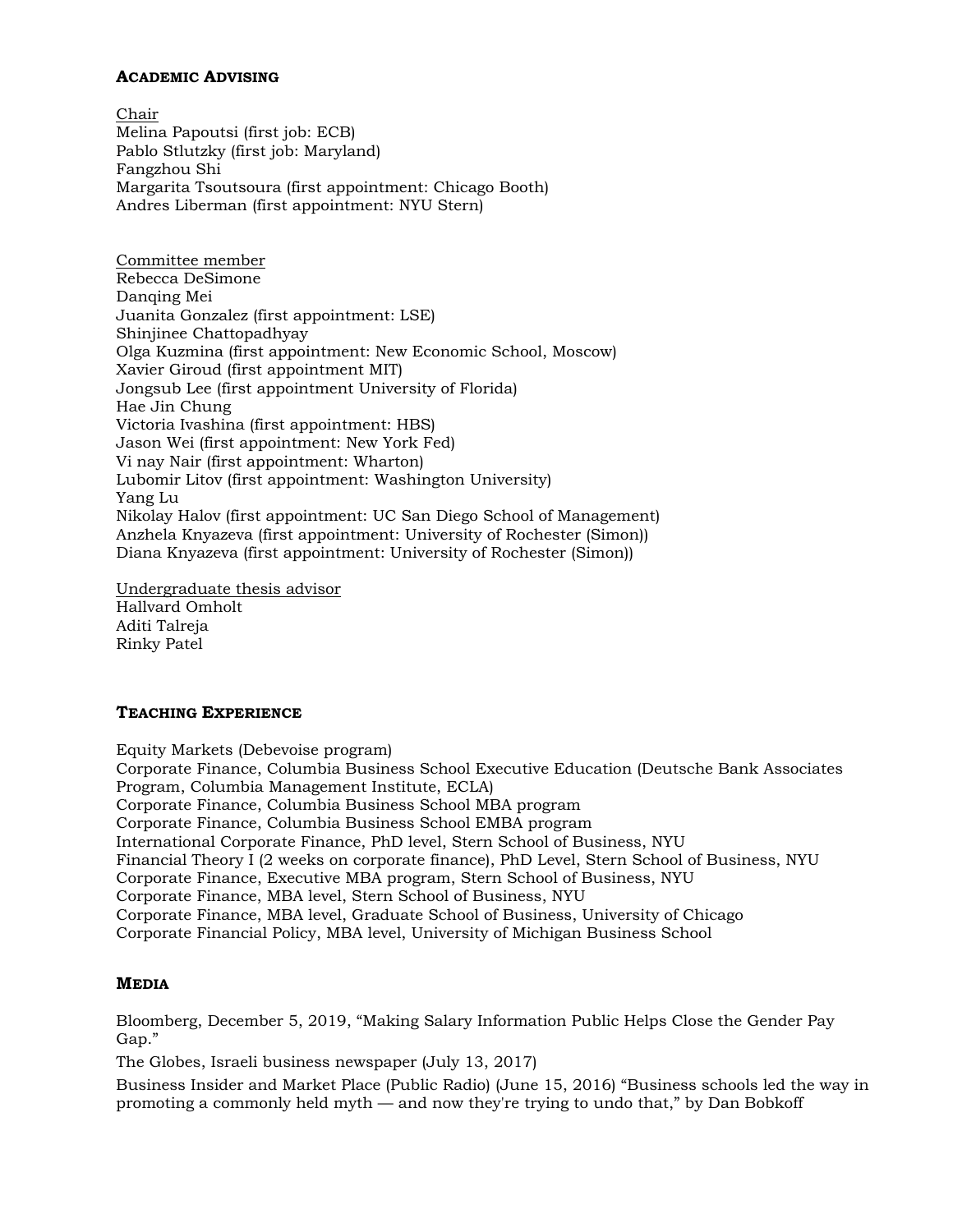## **ACADEMIC ADVISING**

Chair Melina Papoutsi (first job: ECB) Pablo Stlutzky (first job: Maryland) Fangzhou Shi Margarita Tsoutsoura (first appointment: Chicago Booth) Andres Liberman (first appointment: NYU Stern)

Committee member Rebecca DeSimone Danqing Mei Juanita Gonzalez (first appointment: LSE) Shinjinee Chattopadhyay Olga Kuzmina (first appointment: New Economic School, Moscow) Xavier Giroud (first appointment MIT) Jongsub Lee (first appointment University of Florida) Hae Jin Chung Victoria Ivashina (first appointment: HBS) Jason Wei (first appointment: New York Fed) Vi nay Nair (first appointment: Wharton) Lubomir Litov (first appointment: Washington University) Yang Lu Nikolay Halov (first appointment: UC San Diego School of Management) Anzhela Knyazeva (first appointment: University of Rochester (Simon)) Diana Knyazeva (first appointment: University of Rochester (Simon))

Undergraduate thesis advisor Hallvard Omholt Aditi Talreja Rinky Patel

### **TEACHING EXPERIENCE**

Equity Markets (Debevoise program) Corporate Finance, Columbia Business School Executive Education (Deutsche Bank Associates Program, Columbia Management Institute, ECLA) Corporate Finance, Columbia Business School MBA program Corporate Finance, Columbia Business School EMBA program International Corporate Finance, PhD level, Stern School of Business, NYU Financial Theory I (2 weeks on corporate finance), PhD Level, Stern School of Business, NYU Corporate Finance, Executive MBA program, Stern School of Business, NYU Corporate Finance, MBA level, Stern School of Business, NYU Corporate Finance, MBA level, Graduate School of Business, University of Chicago Corporate Financial Policy, MBA level, University of Michigan Business School

## **MEDIA**

Bloomberg, December 5, 2019, "Making Salary Information Public Helps Close the Gender Pay Gap."

The Globes, Israeli business newspaper (July 13, 2017)

Business Insider and Market Place (Public Radio) (June 15, 2016) "Business schools led the way in promoting a commonly held myth — and now they're trying to undo that," by Dan Bobkoff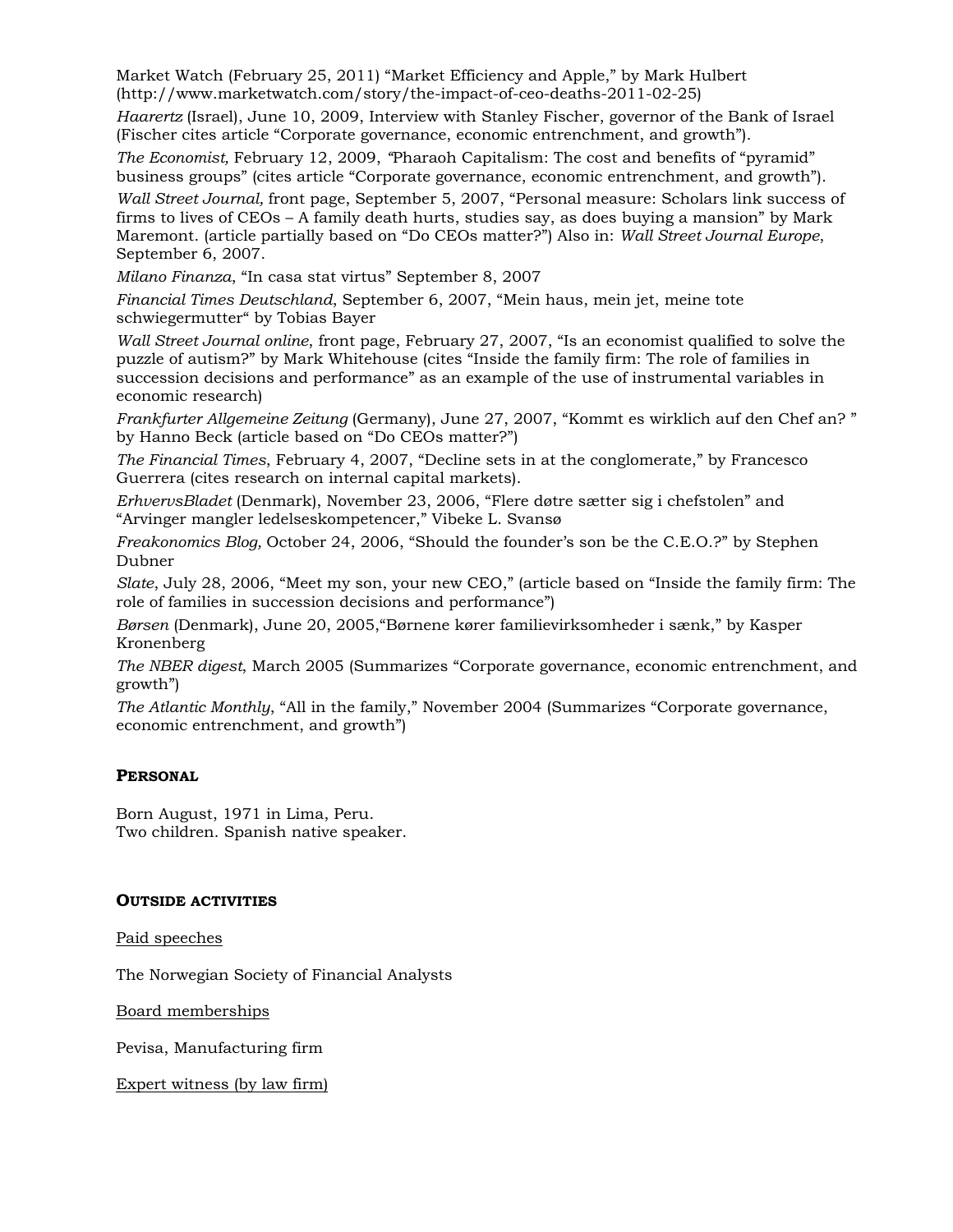Market Watch (February 25, 2011) "Market Efficiency and Apple," by Mark Hulbert (http://www.marketwatch.com/story/the-impact-of-ceo-deaths-2011-02-25)

*Haarertz* (Israel), June 10, 2009, Interview with Stanley Fischer, governor of the Bank of Israel (Fischer cites article "Corporate governance, economic entrenchment, and growth").

*The Economist,* February 12, 2009, *"*Pharaoh Capitalism: The cost and benefits of "pyramid" business groups" (cites article "Corporate governance, economic entrenchment, and growth").

*Wall Street Journal,* front page, September 5, 2007, "Personal measure: Scholars link success of firms to lives of CEOs – A family death hurts, studies say, as does buying a mansion" by Mark Maremont. (article partially based on "Do CEOs matter?") Also in: *Wall Street Journal Europe*, September 6, 2007.

*Milano Finanza*, "In casa stat virtus" September 8, 2007

*Financial Times Deutschland*, September 6, 2007, "Mein haus, mein jet, meine tote schwiegermutter" by Tobias Bayer

*Wall Street Journal online*, front page, February 27, 2007, "Is an economist qualified to solve the puzzle of autism?" by Mark Whitehouse (cites "Inside the family firm: The role of families in succession decisions and performance" as an example of the use of instrumental variables in economic research)

*Frankfurter Allgemeine Zeitung* (Germany), June 27, 2007, "Kommt es wirklich auf den Chef an? " by Hanno Beck (article based on "Do CEOs matter?")

*The Financial Times*, February 4, 2007, "Decline sets in at the conglomerate," by Francesco Guerrera (cites research on internal capital markets).

*ErhvervsBladet* (Denmark), November 23, 2006, "Flere døtre sætter sig i chefstolen" and "Arvinger mangler ledelseskompetencer," Vibeke L. Svansø

*Freakonomics Blog,* October 24, 2006, "Should the founder's son be the C.E.O.?" by Stephen Dubner

*Slate*, July 28, 2006, "Meet my son, your new CEO," (article based on "Inside the family firm: The role of families in succession decisions and performance")

*Børsen* (Denmark), June 20, 2005,"Børnene kører familievirksomheder i sænk," by Kasper Kronenberg

*The NBER digest*, March 2005 (Summarizes "Corporate governance, economic entrenchment, and growth")

*The Atlantic Monthly*, "All in the family," November 2004 (Summarizes "Corporate governance, economic entrenchment, and growth")

### **PERSONAL**

Born August, 1971 in Lima, Peru. Two children. Spanish native speaker.

### **OUTSIDE ACTIVITIES**

Paid speeches

The Norwegian Society of Financial Analysts

Board memberships

Pevisa, Manufacturing firm

Expert witness (by law firm)